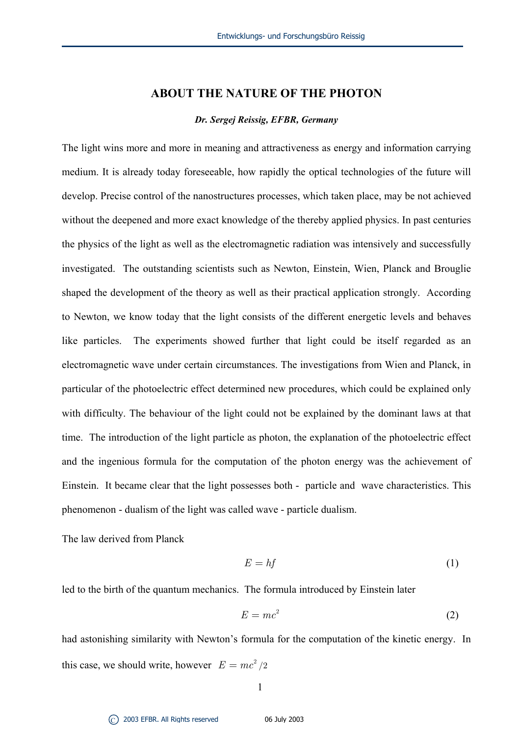# **ABOUT THE NATURE OF THE PHOTON**

#### *Dr. Sergej Reissig, EFBR, Germany*

The light wins more and more in meaning and attractiveness as energy and information carrying medium. It is already today foreseeable, how rapidly the optical technologies of the future will develop. Precise control of the nanostructures processes, which taken place, may be not achieved without the deepened and more exact knowledge of the thereby applied physics. In past centuries the physics of the light as well as the electromagnetic radiation was intensively and successfully investigated. The outstanding scientists such as Newton, Einstein, Wien, Planck and Brouglie shaped the development of the theory as well as their practical application strongly. According to Newton, we know today that the light consists of the different energetic levels and behaves like particles. The experiments showed further that light could be itself regarded as an electromagnetic wave under certain circumstances. The investigations from Wien and Planck, in particular of the photoelectric effect determined new procedures, which could be explained only with difficulty. The behaviour of the light could not be explained by the dominant laws at that time. The introduction of the light particle as photon, the explanation of the photoelectric effect and the ingenious formula for the computation of the photon energy was the achievement of Einstein. It became clear that the light possesses both - particle and wave characteristics. This phenomenon - dualism of the light was called wave - particle dualism.

The law derived from Planck

$$
E = hf \tag{1}
$$

led to the birth of the quantum mechanics. The formula introduced by Einstein later

$$
E = mc^2 \tag{2}
$$

had astonishing similarity with Newton's formula for the computation of the kinetic energy. In this case, we should write, however  $E = mc^2/2$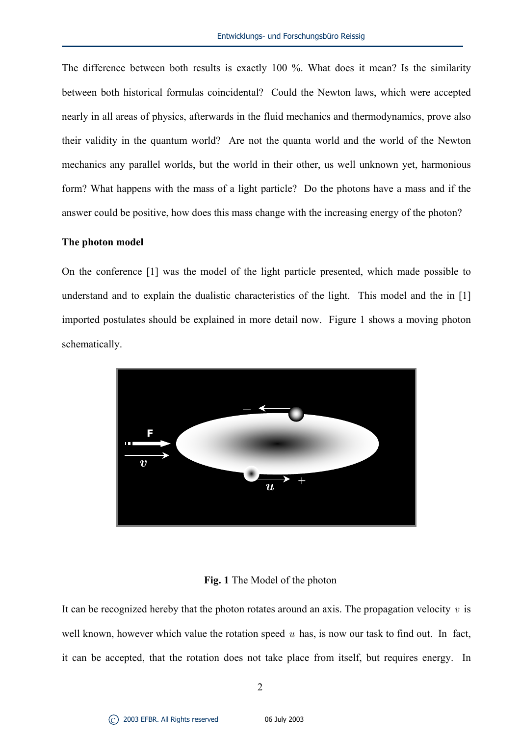The difference between both results is exactly 100 %. What does it mean? Is the similarity between both historical formulas coincidental? Could the Newton laws, which were accepted nearly in all areas of physics, afterwards in the fluid mechanics and thermodynamics, prove also their validity in the quantum world? Are not the quanta world and the world of the Newton mechanics any parallel worlds, but the world in their other, us well unknown yet, harmonious form? What happens with the mass of a light particle? Do the photons have a mass and if the answer could be positive, how does this mass change with the increasing energy of the photon?

#### **The photon model**

On the conference [1] was the model of the light particle presented, which made possible to understand and to explain the dualistic characteristics of the light. This model and the in [1] imported postulates should be explained in more detail now. Figure 1 shows a moving photon schematically.



### **Fig. 1** The Model of the photon

It can be recognized hereby that the photon rotates around an axis. The propagation velocity *v* is well known, however which value the rotation speed *u* has, is now our task to find out. In fact, it can be accepted, that the rotation does not take place from itself, but requires energy. In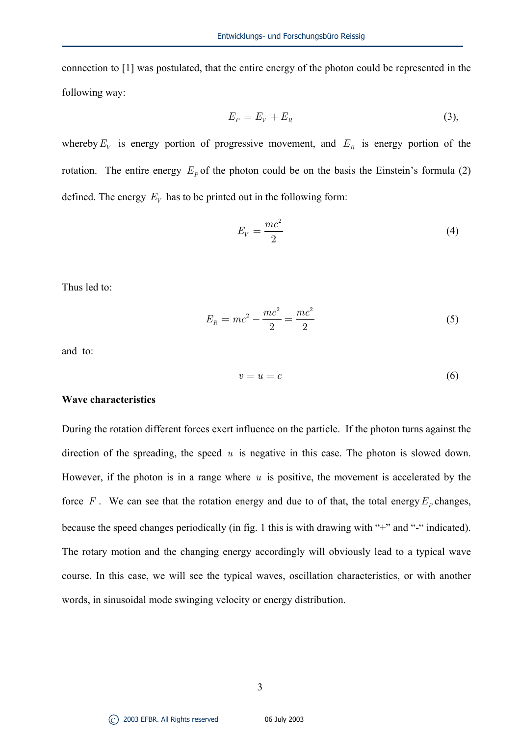connection to [1] was postulated, that the entire energy of the photon could be represented in the following way:

$$
E_p = E_V + E_R \tag{3}
$$

whereby  $E_V$  is energy portion of progressive movement, and  $E_R$  is energy portion of the rotation. The entire energy  $E_p$  of the photon could be on the basis the Einstein's formula (2) defined. The energy  $E_V$  has to be printed out in the following form:

$$
E_V = \frac{mc^2}{2} \tag{4}
$$

Thus led to:

$$
E_R = mc^2 - \frac{mc^2}{2} = \frac{mc^2}{2}
$$
 (5)

and to:

$$
v = u = c \tag{6}
$$

### **Wave characteristics**

During the rotation different forces exert influence on the particle. If the photon turns against the direction of the spreading, the speed *u* is negative in this case. The photon is slowed down. However, if the photon is in a range where *u* is positive, the movement is accelerated by the force  $F$ . We can see that the rotation energy and due to of that, the total energy  $E_p$  changes, because the speed changes periodically (in fig. 1 this is with drawing with "+" and "-" indicated). The rotary motion and the changing energy accordingly will obviously lead to a typical wave course. In this case, we will see the typical waves, oscillation characteristics, or with another words, in sinusoidal mode swinging velocity or energy distribution.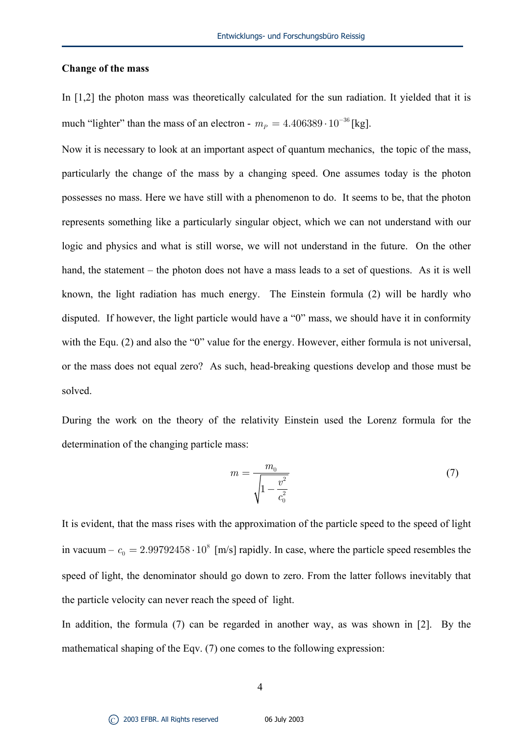#### **Change of the mass**

In [1,2] the photon mass was theoretically calculated for the sun radiation. It yielded that it is much "lighter" than the mass of an electron -  $m_p = 4.406389 \cdot 10^{-36}$  [kg].

Now it is necessary to look at an important aspect of quantum mechanics, the topic of the mass, particularly the change of the mass by a changing speed. One assumes today is the photon possesses no mass. Here we have still with a phenomenon to do. It seems to be, that the photon represents something like a particularly singular object, which we can not understand with our logic and physics and what is still worse, we will not understand in the future. On the other hand, the statement – the photon does not have a mass leads to a set of questions. As it is well known, the light radiation has much energy. The Einstein formula (2) will be hardly who disputed. If however, the light particle would have a "0" mass, we should have it in conformity with the Equ. (2) and also the "0" value for the energy. However, either formula is not universal, or the mass does not equal zero? As such, head-breaking questions develop and those must be solved.

During the work on the theory of the relativity Einstein used the Lorenz formula for the determination of the changing particle mass:

$$
m = \frac{m_0}{\sqrt{1 - \frac{v^2}{c_0^2}}}
$$
(7)

It is evident, that the mass rises with the approximation of the particle speed to the speed of light in vacuum –  $c_0 = 2.99792458 \cdot 10^8$  [m/s] rapidly. In case, where the particle speed resembles the speed of light, the denominator should go down to zero. From the latter follows inevitably that the particle velocity can never reach the speed of light.

In addition, the formula (7) can be regarded in another way, as was shown in [2]. By the mathematical shaping of the Eqv. (7) one comes to the following expression: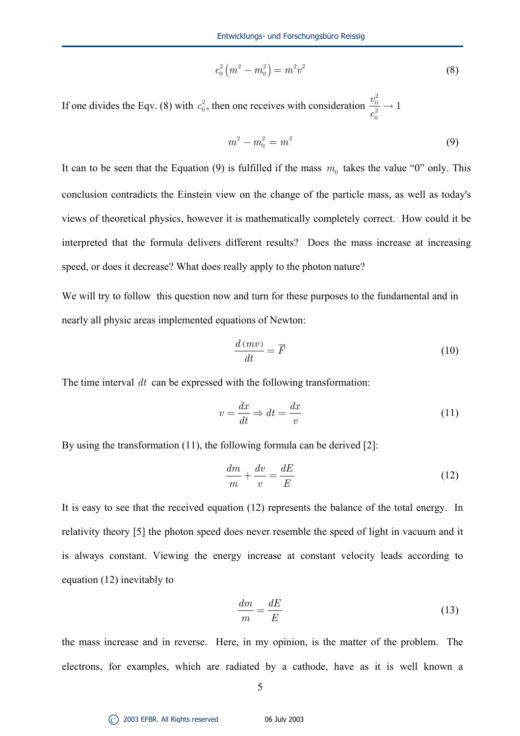$$
c_0^2 \left( m^2 - m_0^2 \right) = m^2 v^2 \tag{8}
$$

If one divides the Eqv. (8) with  $c_0^2$ , then one receives with consideration 2 0 2 0  $\frac{v_0^2}{c_0^2} \to 1$ 

$$
m^2 - m_0^2 = m^2 \tag{9}
$$

It can to be seen that the Equation (9) is fulfilled if the mass  $m_0$  takes the value "0" only. This conclusion contradicts the Einstein view on the change of the particle mass, as well as today's views of theoretical physics, however it is mathematically completely correct. How could it be interpreted that the formula delivers different results? Does the mass increase at increasing speed, or does it decrease? What does really apply to the photon nature?

We will try to follow this question now and turn for these purposes to the fundamental and in nearly all physic areas implemented equations of Newton:

$$
\frac{d\left( mv\right) }{dt}=\vec{F}\tag{10}
$$

The time interval *dt* can be expressed with the following transformation:

$$
v = \frac{dx}{dt} \Rightarrow dt = \frac{dx}{v}
$$
 (11)

By using the transformation (11), the following formula can be derived [2]:

$$
\frac{dm}{m} + \frac{dv}{v} = \frac{dE}{E}
$$
\n(12)

It is easy to see that the received equation (12) represents the balance of the total energy. In relativity theory [5] the photon speed does never resemble the speed of light in vacuum and it is always constant. Viewing the energy increase at constant velocity leads according to equation (12) inevitably to

$$
\frac{dm}{m} = \frac{dE}{E} \tag{13}
$$

the mass increase and in reverse. Here, in my opinion, is the matter of the problem. The electrons, for examples, which are radiated by a cathode, have as it is well known a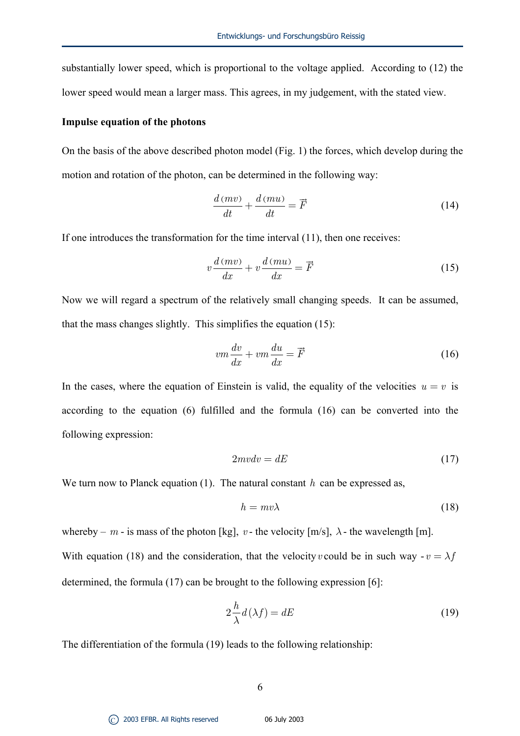substantially lower speed, which is proportional to the voltage applied. According to (12) the lower speed would mean a larger mass. This agrees, in my judgement, with the stated view.

## **Impulse equation of the photons**

On the basis of the above described photon model (Fig. 1) the forces, which develop during the motion and rotation of the photon, can be determined in the following way:

$$
\frac{d\left( mv\right) }{dt}+\frac{d\left( mu\right) }{dt}=\overrightarrow{F}\tag{14}
$$

If one introduces the transformation for the time interval (11), then one receives:

$$
v\frac{d\left(mv\right)}{dx} + v\frac{d\left(mu\right)}{dx} = \vec{F} \tag{15}
$$

Now we will regard a spectrum of the relatively small changing speeds. It can be assumed, that the mass changes slightly. This simplifies the equation (15):

$$
vm\frac{dv}{dx} +vm\frac{du}{dx} = \vec{F}
$$
\n(16)

In the cases, where the equation of Einstein is valid, the equality of the velocities  $u = v$  is according to the equation (6) fulfilled and the formula (16) can be converted into the following expression:

$$
2mvdv = dE \tag{17}
$$

We turn now to Planck equation (1). The natural constant *h* can be expressed as,

$$
h = mv\lambda \tag{18}
$$

whereby –  $m$  - is mass of the photon [kg],  $v$  - the velocity [m/s],  $\lambda$  - the wavelength [m].

With equation (18) and the consideration, that the velocity *v* could be in such way  $-v = \lambda f$ determined, the formula (17) can be brought to the following expression [6]:

$$
2\frac{h}{\lambda}d(\lambda f) = dE\tag{19}
$$

The differentiation of the formula (19) leads to the following relationship: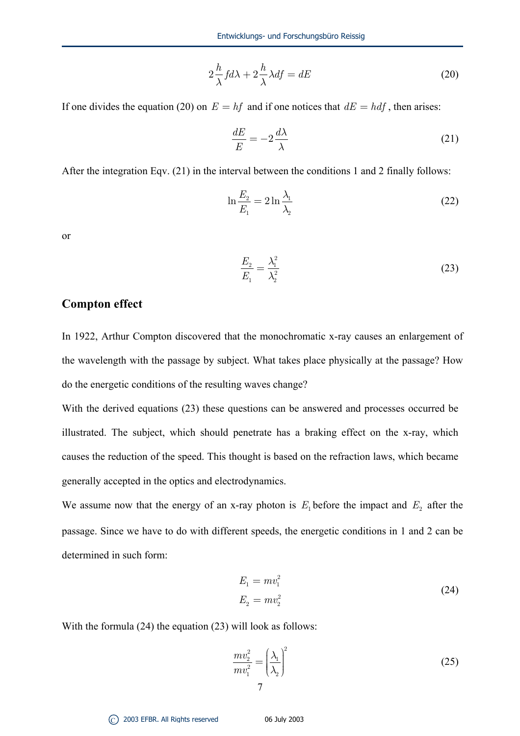$$
2\frac{h}{\lambda}fd\lambda + 2\frac{h}{\lambda}\lambda df = dE
$$
\n(20)

If one divides the equation (20) on  $E = hf$  and if one notices that  $dE = hdf$ , then arises:

$$
\frac{dE}{E} = -2\frac{d\lambda}{\lambda} \tag{21}
$$

After the integration Eqv. (21) in the interval between the conditions 1 and 2 finally follows:

$$
\ln \frac{E_2}{E_1} = 2 \ln \frac{\lambda_1}{\lambda_2} \tag{22}
$$

or

$$
\frac{E_2}{E_1} = \frac{\lambda_1^2}{\lambda_2^2}
$$
 (23)

## **Compton effect**

In 1922, Arthur Compton discovered that the monochromatic x-ray causes an enlargement of the wavelength with the passage by subject. What takes place physically at the passage? How do the energetic conditions of the resulting waves change?

With the derived equations (23) these questions can be answered and processes occurred be illustrated. The subject, which should penetrate has a braking effect on the x-ray, which causes the reduction of the speed. This thought is based on the refraction laws, which became generally accepted in the optics and electrodynamics.

We assume now that the energy of an x-ray photon is  $E_1$  before the impact and  $E_2$  after the passage. Since we have to do with different speeds, the energetic conditions in 1 and 2 can be determined in such form:

$$
E_1 = m v_1^2
$$
  
\n
$$
E_2 = m v_2^2
$$
\n(24)

With the formula (24) the equation (23) will look as follows:

$$
\frac{mv_2^2}{mv_1^2} = \left(\frac{\lambda_1}{\lambda_2}\right)^2 \tag{25}
$$